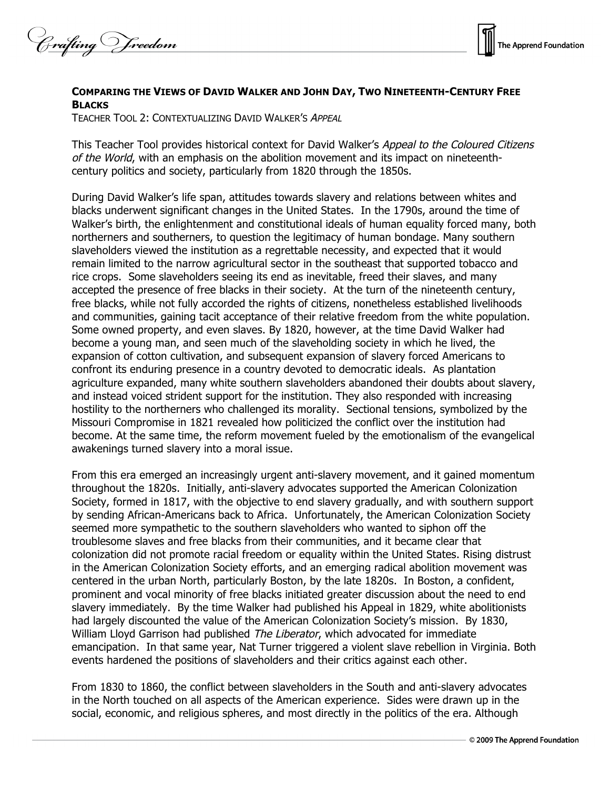Crafting Vreedom



## **COMPARING THE VIEWS OF DAVID WALKER AND JOHN DAY, TWO NINETEENTH-CENTURY FREE BLACKS**

TEACHER TOOL 2: CONTEXTUALIZING DAVID WALKER'S APPEAL

This Teacher Tool provides historical context for David Walker's Appeal to the Coloured Citizens of the World, with an emphasis on the abolition movement and its impact on nineteenthcentury politics and society, particularly from 1820 through the 1850s.

During David Walker's life span, attitudes towards slavery and relations between whites and blacks underwent significant changes in the United States. In the 1790s, around the time of Walker's birth, the enlightenment and constitutional ideals of human equality forced many, both northerners and southerners, to question the legitimacy of human bondage. Many southern slaveholders viewed the institution as a regrettable necessity, and expected that it would remain limited to the narrow agricultural sector in the southeast that supported tobacco and rice crops. Some slaveholders seeing its end as inevitable, freed their slaves, and many accepted the presence of free blacks in their society. At the turn of the nineteenth century, free blacks, while not fully accorded the rights of citizens, nonetheless established livelihoods and communities, gaining tacit acceptance of their relative freedom from the white population. Some owned property, and even slaves. By 1820, however, at the time David Walker had become a young man, and seen much of the slaveholding society in which he lived, the expansion of cotton cultivation, and subsequent expansion of slavery forced Americans to confront its enduring presence in a country devoted to democratic ideals. As plantation agriculture expanded, many white southern slaveholders abandoned their doubts about slavery, and instead voiced strident support for the institution. They also responded with increasing hostility to the northerners who challenged its morality. Sectional tensions, symbolized by the Missouri Compromise in 1821 revealed how politicized the conflict over the institution had become. At the same time, the reform movement fueled by the emotionalism of the evangelical awakenings turned slavery into a moral issue.

From this era emerged an increasingly urgent anti-slavery movement, and it gained momentum throughout the 1820s. Initially, anti-slavery advocates supported the American Colonization Society, formed in 1817, with the objective to end slavery gradually, and with southern support by sending African-Americans back to Africa. Unfortunately, the American Colonization Society seemed more sympathetic to the southern slaveholders who wanted to siphon off the troublesome slaves and free blacks from their communities, and it became clear that colonization did not promote racial freedom or equality within the United States. Rising distrust in the American Colonization Society efforts, and an emerging radical abolition movement was centered in the urban North, particularly Boston, by the late 1820s. In Boston, a confident, prominent and vocal minority of free blacks initiated greater discussion about the need to end slavery immediately. By the time Walker had published his Appeal in 1829, white abolitionists had largely discounted the value of the American Colonization Society's mission. By 1830, William Lloyd Garrison had published The Liberator, which advocated for immediate emancipation. In that same year, Nat Turner triggered a violent slave rebellion in Virginia. Both events hardened the positions of slaveholders and their critics against each other.

From 1830 to 1860, the conflict between slaveholders in the South and anti-slavery advocates in the North touched on all aspects of the American experience. Sides were drawn up in the social, economic, and religious spheres, and most directly in the politics of the era. Although